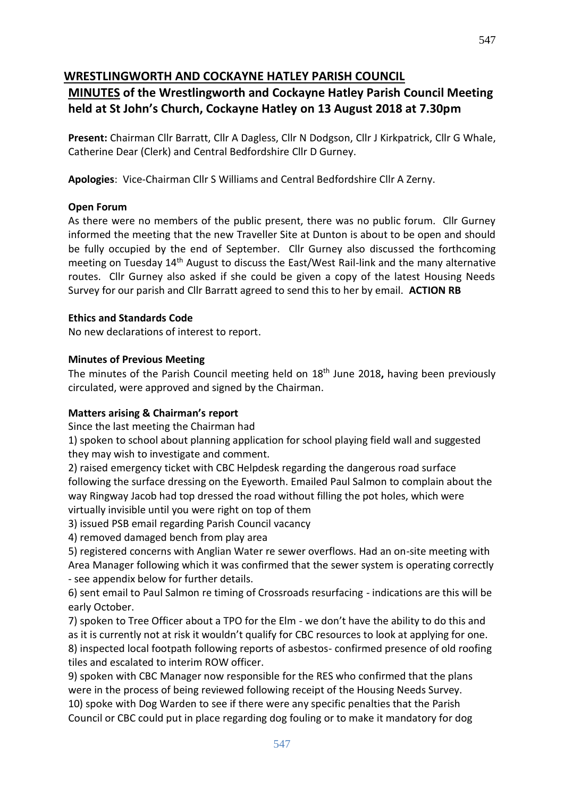#### **WRESTLINGWORTH AND COCKAYNE HATLEY PARISH COUNCIL**

### **MINUTES of the Wrestlingworth and Cockayne Hatley Parish Council Meeting held at St John's Church, Cockayne Hatley on 13 August 2018 at 7.30pm**

**Present:** Chairman Cllr Barratt, Cllr A Dagless, Cllr N Dodgson, Cllr J Kirkpatrick, Cllr G Whale, Catherine Dear (Clerk) and Central Bedfordshire Cllr D Gurney.

**Apologies**: Vice-Chairman Cllr S Williams and Central Bedfordshire Cllr A Zerny.

#### **Open Forum**

As there were no members of the public present, there was no public forum. Cllr Gurney informed the meeting that the new Traveller Site at Dunton is about to be open and should be fully occupied by the end of September. Cllr Gurney also discussed the forthcoming meeting on Tuesday 14th August to discuss the East/West Rail-link and the many alternative routes. Cllr Gurney also asked if she could be given a copy of the latest Housing Needs Survey for our parish and Cllr Barratt agreed to send this to her by email. **ACTION RB**

#### **Ethics and Standards Code**

No new declarations of interest to report.

#### **Minutes of Previous Meeting**

The minutes of the Parish Council meeting held on 18th June 2018**,** having been previously circulated, were approved and signed by the Chairman.

#### **Matters arising & Chairman's report**

Since the last meeting the Chairman had

1) spoken to school about planning application for school playing field wall and suggested they may wish to investigate and comment.

2) raised emergency ticket with CBC Helpdesk regarding the dangerous road surface following the surface dressing on the Eyeworth. Emailed Paul Salmon to complain about the way Ringway Jacob had top dressed the road without filling the pot holes, which were virtually invisible until you were right on top of them

3) issued PSB email regarding Parish Council vacancy

4) removed damaged bench from play area

5) registered concerns with Anglian Water re sewer overflows. Had an on-site meeting with Area Manager following which it was confirmed that the sewer system is operating correctly - see appendix below for further details.

6) sent email to Paul Salmon re timing of Crossroads resurfacing - indications are this will be early October.

7) spoken to Tree Officer about a TPO for the Elm - we don't have the ability to do this and as it is currently not at risk it wouldn't qualify for CBC resources to look at applying for one. 8) inspected local footpath following reports of asbestos- confirmed presence of old roofing tiles and escalated to interim ROW officer.

9) spoken with CBC Manager now responsible for the RES who confirmed that the plans were in the process of being reviewed following receipt of the Housing Needs Survey. 10) spoke with Dog Warden to see if there were any specific penalties that the Parish Council or CBC could put in place regarding dog fouling or to make it mandatory for dog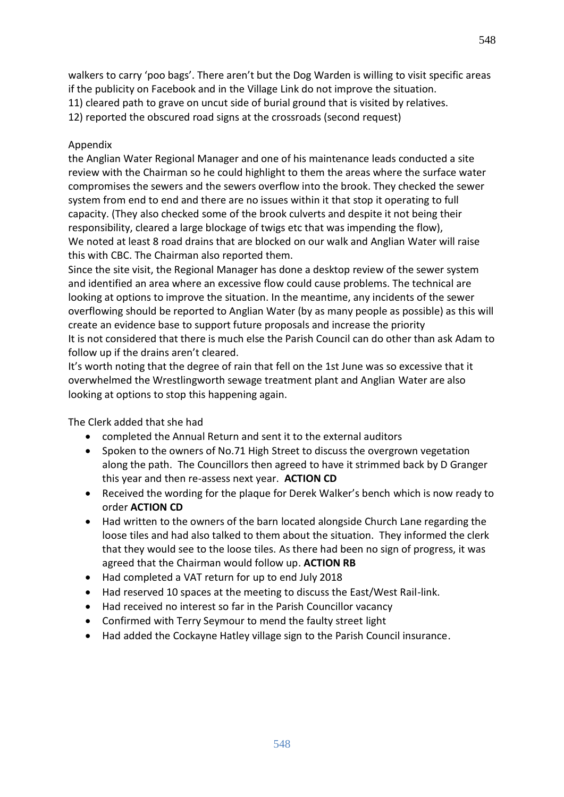walkers to carry 'poo bags'. There aren't but the Dog Warden is willing to visit specific areas if the publicity on Facebook and in the Village Link do not improve the situation. 11) cleared path to grave on uncut side of burial ground that is visited by relatives.

12) reported the obscured road signs at the crossroads (second request)

#### Appendix

the Anglian Water Regional Manager and one of his maintenance leads conducted a site review with the Chairman so he could highlight to them the areas where the surface water compromises the sewers and the sewers overflow into the brook. They checked the sewer system from end to end and there are no issues within it that stop it operating to full capacity. (They also checked some of the brook culverts and despite it not being their responsibility, cleared a large blockage of twigs etc that was impending the flow), We noted at least 8 road drains that are blocked on our walk and Anglian Water will raise this with CBC. The Chairman also reported them.

Since the site visit, the Regional Manager has done a desktop review of the sewer system and identified an area where an excessive flow could cause problems. The technical are looking at options to improve the situation. In the meantime, any incidents of the sewer overflowing should be reported to Anglian Water (by as many people as possible) as this will create an evidence base to support future proposals and increase the priority It is not considered that there is much else the Parish Council can do other than ask Adam to follow up if the drains aren't cleared.

It's worth noting that the degree of rain that fell on the 1st June was so excessive that it overwhelmed the Wrestlingworth sewage treatment plant and Anglian Water are also looking at options to stop this happening again.

The Clerk added that she had

- completed the Annual Return and sent it to the external auditors
- Spoken to the owners of No.71 High Street to discuss the overgrown vegetation along the path. The Councillors then agreed to have it strimmed back by D Granger this year and then re-assess next year. **ACTION CD**
- Received the wording for the plaque for Derek Walker's bench which is now ready to order **ACTION CD**
- Had written to the owners of the barn located alongside Church Lane regarding the loose tiles and had also talked to them about the situation. They informed the clerk that they would see to the loose tiles. As there had been no sign of progress, it was agreed that the Chairman would follow up. **ACTION RB**
- Had completed a VAT return for up to end July 2018
- Had reserved 10 spaces at the meeting to discuss the East/West Rail-link.
- Had received no interest so far in the Parish Councillor vacancy
- Confirmed with Terry Seymour to mend the faulty street light
- Had added the Cockayne Hatley village sign to the Parish Council insurance.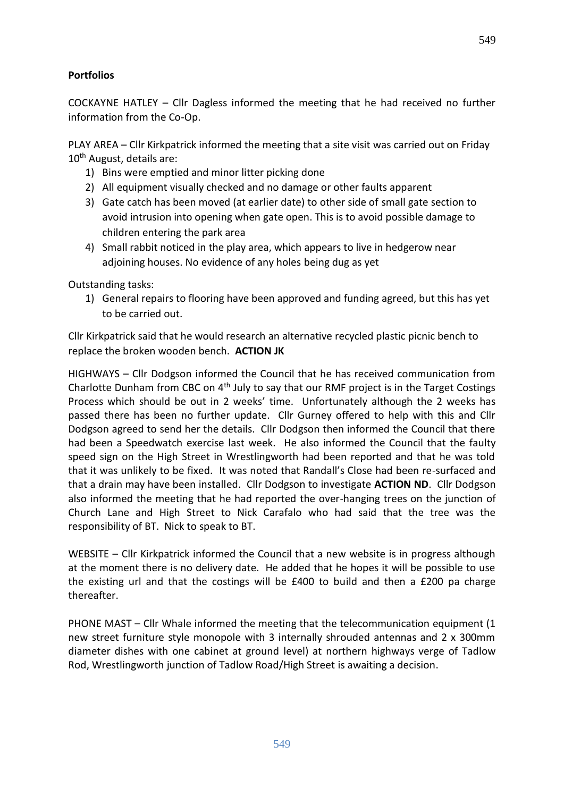#### **Portfolios**

COCKAYNE HATLEY – Cllr Dagless informed the meeting that he had received no further information from the Co-Op.

PLAY AREA – Cllr Kirkpatrick informed the meeting that a site visit was carried out on Friday 10<sup>th</sup> August, details are:

- 1) Bins were emptied and minor litter picking done
- 2) All equipment visually checked and no damage or other faults apparent
- 3) Gate catch has been moved (at earlier date) to other side of small gate section to avoid intrusion into opening when gate open. This is to avoid possible damage to children entering the park area
- 4) Small rabbit noticed in the play area, which appears to live in hedgerow near adjoining houses. No evidence of any holes being dug as yet

Outstanding tasks:

1) General repairs to flooring have been approved and funding agreed, but this has yet to be carried out.

Cllr Kirkpatrick said that he would research an alternative recycled plastic picnic bench to replace the broken wooden bench. **ACTION JK**

HIGHWAYS – Cllr Dodgson informed the Council that he has received communication from Charlotte Dunham from CBC on 4th July to say that our RMF project is in the Target Costings Process which should be out in 2 weeks' time. Unfortunately although the 2 weeks has passed there has been no further update. Cllr Gurney offered to help with this and Cllr Dodgson agreed to send her the details. Cllr Dodgson then informed the Council that there had been a Speedwatch exercise last week. He also informed the Council that the faulty speed sign on the High Street in Wrestlingworth had been reported and that he was told that it was unlikely to be fixed. It was noted that Randall's Close had been re-surfaced and that a drain may have been installed. Cllr Dodgson to investigate **ACTION ND**. Cllr Dodgson also informed the meeting that he had reported the over-hanging trees on the junction of Church Lane and High Street to Nick Carafalo who had said that the tree was the responsibility of BT. Nick to speak to BT.

WEBSITE – Cllr Kirkpatrick informed the Council that a new website is in progress although at the moment there is no delivery date. He added that he hopes it will be possible to use the existing url and that the costings will be £400 to build and then a £200 pa charge thereafter.

PHONE MAST – Cllr Whale informed the meeting that the telecommunication equipment (1 new street furniture style monopole with 3 internally shrouded antennas and 2 x 300mm diameter dishes with one cabinet at ground level) at northern highways verge of Tadlow Rod, Wrestlingworth junction of Tadlow Road/High Street is awaiting a decision.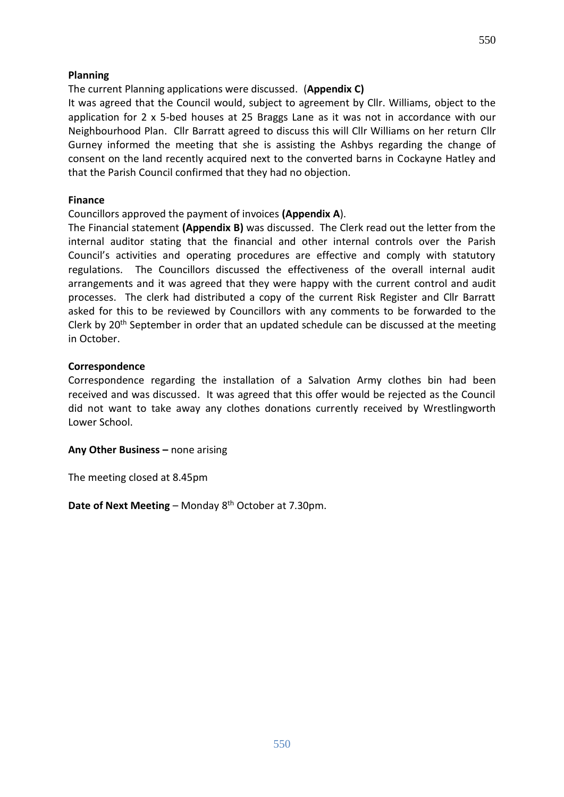#### **Planning**

The current Planning applications were discussed. (**Appendix C)**

It was agreed that the Council would, subject to agreement by Cllr. Williams, object to the application for 2 x 5-bed houses at 25 Braggs Lane as it was not in accordance with our Neighbourhood Plan. Cllr Barratt agreed to discuss this will Cllr Williams on her return Cllr Gurney informed the meeting that she is assisting the Ashbys regarding the change of consent on the land recently acquired next to the converted barns in Cockayne Hatley and that the Parish Council confirmed that they had no objection.

#### **Finance**

#### Councillors approved the payment of invoices **(Appendix A**).

The Financial statement **(Appendix B)** was discussed. The Clerk read out the letter from the internal auditor stating that the financial and other internal controls over the Parish Council's activities and operating procedures are effective and comply with statutory regulations. The Councillors discussed the effectiveness of the overall internal audit arrangements and it was agreed that they were happy with the current control and audit processes. The clerk had distributed a copy of the current Risk Register and Cllr Barratt asked for this to be reviewed by Councillors with any comments to be forwarded to the Clerk by  $20<sup>th</sup>$  September in order that an updated schedule can be discussed at the meeting in October.

#### **Correspondence**

Correspondence regarding the installation of a Salvation Army clothes bin had been received and was discussed. It was agreed that this offer would be rejected as the Council did not want to take away any clothes donations currently received by Wrestlingworth Lower School.

**Any Other Business –** none arising

The meeting closed at 8.45pm

Date of Next Meeting - Monday 8<sup>th</sup> October at 7.30pm.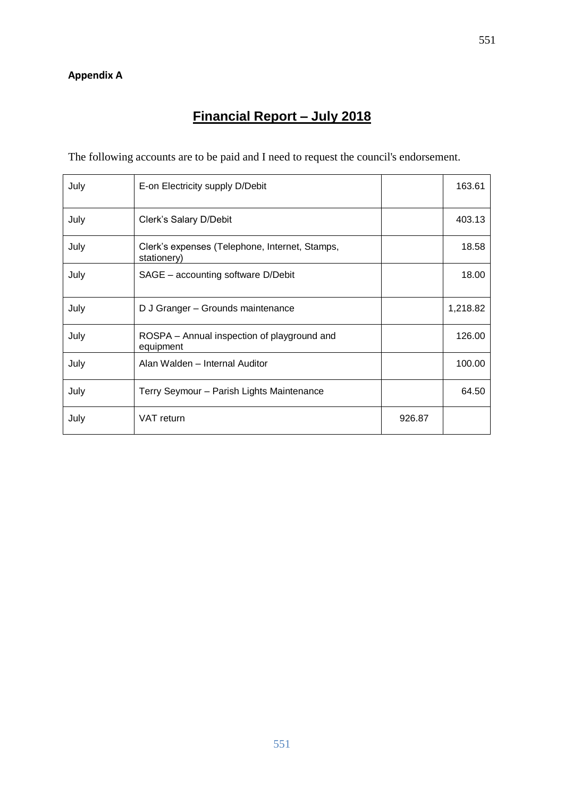#### **Appendix A**

## **Financial Report – July 2018**

The following accounts are to be paid and I need to request the council's endorsement.

| July | E-on Electricity supply D/Debit                               |        | 163.61   |
|------|---------------------------------------------------------------|--------|----------|
| July | Clerk's Salary D/Debit                                        |        | 403.13   |
| July | Clerk's expenses (Telephone, Internet, Stamps,<br>stationery) |        | 18.58    |
| July | SAGE - accounting software D/Debit                            |        | 18.00    |
| July | D J Granger - Grounds maintenance                             |        | 1,218.82 |
| July | ROSPA - Annual inspection of playground and<br>equipment      |        | 126.00   |
| July | Alan Walden - Internal Auditor                                |        | 100.00   |
| July | Terry Seymour - Parish Lights Maintenance                     |        | 64.50    |
| July | VAT return                                                    | 926.87 |          |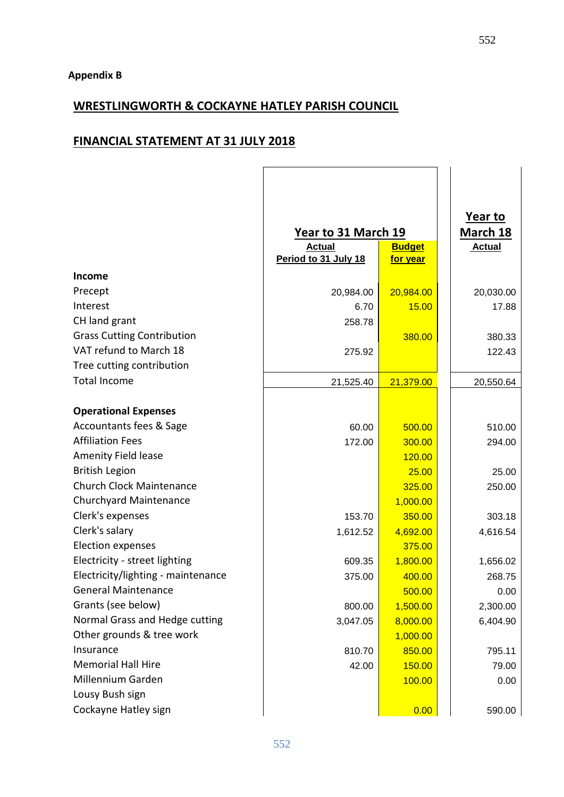## **WRESTLINGWORTH & COCKAYNE HATLEY PARISH COUNCIL**

## **FINANCIAL STATEMENT AT 31 JULY 2018**

|                                    | Year to 31 March 19  |                 | Year to<br>March 18 |
|------------------------------------|----------------------|-----------------|---------------------|
|                                    | <b>Actual</b>        | <b>Budget</b>   | <b>Actual</b>       |
|                                    | Period to 31 July 18 | <u>for year</u> |                     |
| <b>Income</b>                      |                      |                 |                     |
| Precept                            | 20,984.00            | 20,984.00       | 20,030.00           |
| Interest                           | 6.70                 | 15.00           | 17.88               |
| CH land grant                      | 258.78               |                 |                     |
| <b>Grass Cutting Contribution</b>  |                      | 380.00          | 380.33              |
| VAT refund to March 18             | 275.92               |                 | 122.43              |
| Tree cutting contribution          |                      |                 |                     |
| <b>Total Income</b>                | 21,525.40            | 21,379.00       | 20,550.64           |
|                                    |                      |                 |                     |
| <b>Operational Expenses</b>        |                      |                 |                     |
| Accountants fees & Sage            | 60.00                | 500.00          | 510.00              |
| <b>Affiliation Fees</b>            | 172.00               | 300.00          | 294.00              |
| <b>Amenity Field lease</b>         |                      | 120.00          |                     |
| <b>British Legion</b>              |                      | 25.00           | 25.00               |
| <b>Church Clock Maintenance</b>    |                      | 325.00          | 250.00              |
| Churchyard Maintenance             |                      | 1,000.00        |                     |
| Clerk's expenses                   | 153.70               | 350.00          | 303.18              |
| Clerk's salary                     | 1,612.52             | 4,692.00        | 4,616.54            |
| <b>Election expenses</b>           |                      | 375.00          |                     |
| Electricity - street lighting      | 609.35               | 1,800.00        | 1,656.02            |
| Electricity/lighting - maintenance | 375.00               | 400.00          | 268.75              |
| <b>General Maintenance</b>         |                      | 500.00          | 0.00                |
| Grants (see below)                 | 800.00               | 1,500.00        | 2,300.00            |
| Normal Grass and Hedge cutting     | 3,047.05             | 8,000.00        | 6,404.90            |
| Other grounds & tree work          |                      | 1,000.00        |                     |
| Insurance                          | 810.70               | 850.00          | 795.11              |
| <b>Memorial Hall Hire</b>          | 42.00                | 150.00          | 79.00               |
| Millennium Garden                  |                      | 100.00          | 0.00                |
| Lousy Bush sign                    |                      |                 |                     |
| Cockayne Hatley sign               |                      | 0.00            | 590.00              |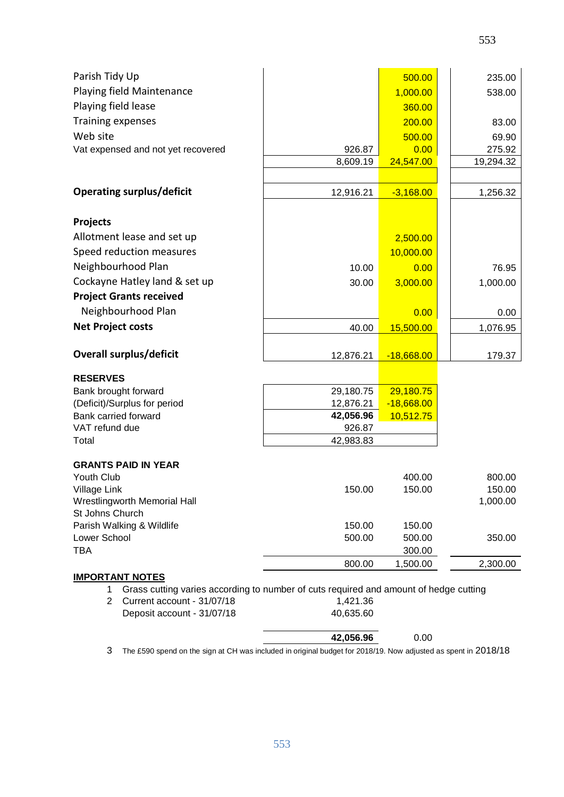| Parish Tidy Up                                                                                                        |                        | 500.00                    | 235.00             |
|-----------------------------------------------------------------------------------------------------------------------|------------------------|---------------------------|--------------------|
| Playing field Maintenance                                                                                             |                        | 1,000.00                  | 538.00             |
| Playing field lease                                                                                                   |                        | 360.00                    |                    |
| Training expenses                                                                                                     |                        | 200.00                    | 83.00              |
| Web site                                                                                                              |                        | 500.00                    | 69.90              |
| Vat expensed and not yet recovered                                                                                    | 926.87                 | 0.00                      | 275.92             |
|                                                                                                                       | 8,609.19               | 24,547.00                 | 19,294.32          |
|                                                                                                                       |                        |                           |                    |
| <b>Operating surplus/deficit</b>                                                                                      | 12,916.21              | $-3,168.00$               | 1,256.32           |
| <b>Projects</b>                                                                                                       |                        |                           |                    |
| Allotment lease and set up                                                                                            |                        | 2,500.00                  |                    |
| Speed reduction measures                                                                                              |                        | 10,000.00                 |                    |
| Neighbourhood Plan                                                                                                    | 10.00                  | 0.00                      | 76.95              |
| Cockayne Hatley land & set up                                                                                         | 30.00                  | 3,000.00                  | 1,000.00           |
| <b>Project Grants received</b>                                                                                        |                        |                           |                    |
| Neighbourhood Plan                                                                                                    |                        | 0.00                      | 0.00               |
| <b>Net Project costs</b>                                                                                              | 40.00                  | 15,500.00                 | 1,076.95           |
| <b>Overall surplus/deficit</b>                                                                                        | 12,876.21              | $-18,668.00$              | 179.37             |
|                                                                                                                       |                        |                           |                    |
| <b>RESERVES</b>                                                                                                       |                        |                           |                    |
| Bank brought forward                                                                                                  | 29,180.75              | 29,180.75                 |                    |
| (Deficit)/Surplus for period<br>Bank carried forward                                                                  | 12,876.21<br>42,056.96 | $-18,668.00$<br>10,512.75 |                    |
| VAT refund due                                                                                                        | 926.87                 |                           |                    |
| Total                                                                                                                 | 42,983.83              |                           |                    |
|                                                                                                                       |                        |                           |                    |
| <b>GRANTS PAID IN YEAR</b>                                                                                            |                        |                           |                    |
| Youth Club                                                                                                            | 150.00                 | 400.00                    | 800.00             |
| Village Link<br>Wrestlingworth Memorial Hall                                                                          |                        | 150.00                    | 150.00<br>1,000.00 |
| St Johns Church                                                                                                       |                        |                           |                    |
| Parish Walking & Wildlife                                                                                             | 150.00                 | 150.00                    |                    |
| Lower School                                                                                                          | 500.00                 | 500.00                    | 350.00             |
| TBA                                                                                                                   |                        | 300.00                    |                    |
|                                                                                                                       | 800.00                 | 1,500.00                  | 2,300.00           |
| <b>IMPORTANT NOTES</b><br>Grass cutting varies according to number of cuts required and amount of hedge cutting<br>1. |                        |                           |                    |
| Current account - 31/07/18<br>$\overline{2}$                                                                          | 1,421.36               |                           |                    |
| Deposit account - 31/07/18                                                                                            | 40,635.60              |                           |                    |
|                                                                                                                       | 42,056.96              | 0.00                      |                    |

3 The £590 spend on the sign at CH was included in original budget for 2018/19. Now adjusted as spent in 2018/18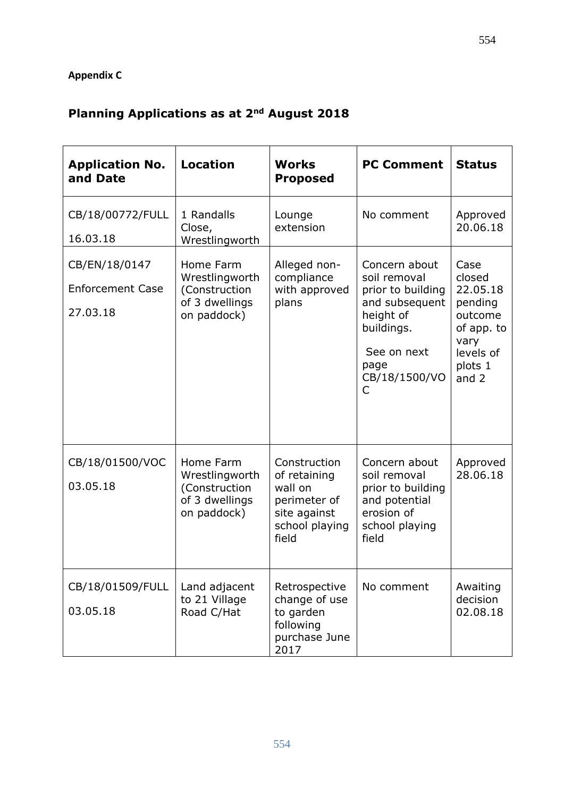## **Appendix C**

# **Planning Applications as at 2nd August 2018**

| <b>Application No.</b><br>and Date                   | <b>Location</b>                                                               | <b>Works</b><br><b>Proposed</b>                                                                    | <b>PC Comment</b>                                                                                                                            | <b>Status</b>                                                                                             |
|------------------------------------------------------|-------------------------------------------------------------------------------|----------------------------------------------------------------------------------------------------|----------------------------------------------------------------------------------------------------------------------------------------------|-----------------------------------------------------------------------------------------------------------|
| CB/18/00772/FULL<br>16.03.18                         | 1 Randalls<br>Close,<br>Wrestlingworth                                        | Lounge<br>extension                                                                                | No comment                                                                                                                                   | Approved<br>20.06.18                                                                                      |
| CB/EN/18/0147<br><b>Enforcement Case</b><br>27.03.18 | Home Farm<br>Wrestlingworth<br>(Construction<br>of 3 dwellings<br>on paddock) | Alleged non-<br>compliance<br>with approved<br>plans                                               | Concern about<br>soil removal<br>prior to building<br>and subsequent<br>height of<br>buildings.<br>See on next<br>page<br>CB/18/1500/VO<br>C | Case<br>closed<br>22.05.18<br>pending<br>outcome<br>of app. to<br>vary<br>levels of<br>plots 1<br>and $2$ |
| CB/18/01500/VOC<br>03.05.18                          | Home Farm<br>Wrestlingworth<br>(Construction<br>of 3 dwellings<br>on paddock) | Construction<br>of retaining<br>wall on<br>perimeter of<br>site against<br>school playing<br>field | Concern about<br>soil removal<br>prior to building<br>and potential<br>erosion of<br>school playing<br>field                                 | Approved<br>28.06.18                                                                                      |
| CB/18/01509/FULL<br>03.05.18                         | Land adjacent<br>to 21 Village<br>Road C/Hat                                  | Retrospective<br>change of use<br>to garden<br>following<br>purchase June<br>2017                  | No comment                                                                                                                                   | Awaiting<br>decision<br>02.08.18                                                                          |